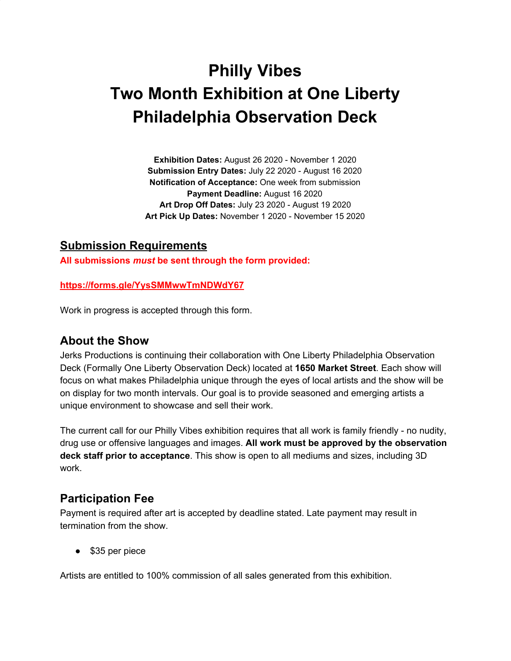# **Philly Vibes Two Month Exhibition at One Liberty Philadelphia Observation Deck**

**Exhibition Dates:** August 26 2020 - November 1 2020 **Submission Entry Dates:** July 22 2020 - August 16 2020 **Notification of Acceptance:** One week from submission **Payment Deadline:** August 16 2020 **Art Drop Off Dates:** July 23 2020 - August 19 2020 **Art Pick Up Dates:** November 1 2020 - November 15 2020

#### **Submission Requirements**

**All submissions** *must* **be sent through the form provided:**

#### **<https://forms.gle/YysSMMwwTmNDWdY67>**

Work in progress is accepted through this form.

### **About the Show**

Jerks Productions is continuing their collaboration with One Liberty Philadelphia Observation Deck (Formally One Liberty Observation Deck) located at **1650 Market Street**. Each show will focus on what makes Philadelphia unique through the eyes of local artists and the show will be on display for two month intervals. Our goal is to provide seasoned and emerging artists a unique environment to showcase and sell their work.

The current call for our Philly Vibes exhibition requires that all work is family friendly - no nudity, drug use or offensive languages and images. **All work must be approved by the observation deck staff prior to acceptance**. This show is open to all mediums and sizes, including 3D work.

### **Participation Fee**

Payment is required after art is accepted by deadline stated. Late payment may result in termination from the show.

● \$35 per piece

Artists are entitled to 100% commission of all sales generated from this exhibition.